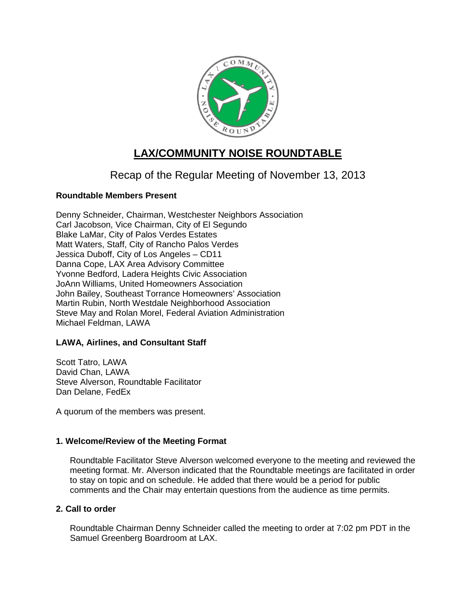

# **LAX/COMMUNITY NOISE ROUNDTABLE**

## Recap of the Regular Meeting of November 13, 2013

## **Roundtable Members Present**

Denny Schneider, Chairman, Westchester Neighbors Association Carl Jacobson, Vice Chairman, City of El Segundo Blake LaMar, City of Palos Verdes Estates Matt Waters, Staff, City of Rancho Palos Verdes Jessica Duboff, City of Los Angeles – CD11 Danna Cope, LAX Area Advisory Committee Yvonne Bedford, Ladera Heights Civic Association JoAnn Williams, United Homeowners Association John Bailey, Southeast Torrance Homeowners' Association Martin Rubin, North Westdale Neighborhood Association Steve May and Rolan Morel, Federal Aviation Administration Michael Feldman, LAWA

## **LAWA, Airlines, and Consultant Staff**

Scott Tatro, LAWA David Chan, LAWA Steve Alverson, Roundtable Facilitator Dan Delane, FedEx

A quorum of the members was present.

## **1. Welcome/Review of the Meeting Format**

Roundtable Facilitator Steve Alverson welcomed everyone to the meeting and reviewed the meeting format. Mr. Alverson indicated that the Roundtable meetings are facilitated in order to stay on topic and on schedule. He added that there would be a period for public comments and the Chair may entertain questions from the audience as time permits.

## **2. Call to order**

Roundtable Chairman Denny Schneider called the meeting to order at 7:02 pm PDT in the Samuel Greenberg Boardroom at LAX.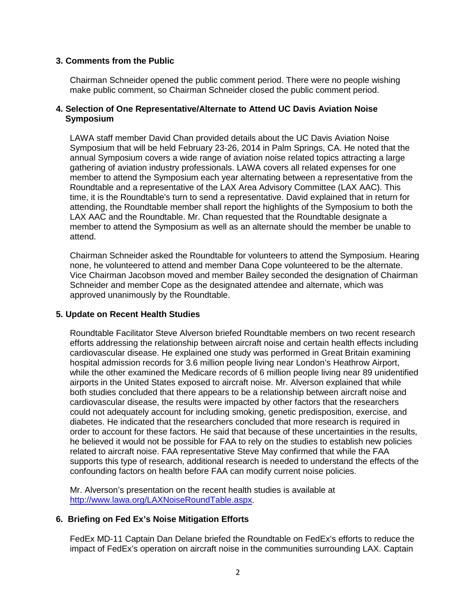#### **3. Comments from the Public**

Chairman Schneider opened the public comment period. There were no people wishing make public comment, so Chairman Schneider closed the public comment period.

#### **4. Selection of One Representative/Alternate to Attend UC Davis Aviation Noise Symposium**

LAWA staff member David Chan provided details about the UC Davis Aviation Noise Symposium that will be held February 23-26, 2014 in Palm Springs, CA. He noted that the annual Symposium covers a wide range of aviation noise related topics attracting a large gathering of aviation industry professionals. LAWA covers all related expenses for one member to attend the Symposium each year alternating between a representative from the Roundtable and a representative of the LAX Area Advisory Committee (LAX AAC). This time, it is the Roundtable's turn to send a representative. David explained that in return for attending, the Roundtable member shall report the highlights of the Symposium to both the LAX AAC and the Roundtable. Mr. Chan requested that the Roundtable designate a member to attend the Symposium as well as an alternate should the member be unable to attend.

Chairman Schneider asked the Roundtable for volunteers to attend the Symposium. Hearing none, he volunteered to attend and member Dana Cope volunteered to be the alternate. Vice Chairman Jacobson moved and member Bailey seconded the designation of Chairman Schneider and member Cope as the designated attendee and alternate, which was approved unanimously by the Roundtable.

#### **5. Update on Recent Health Studies**

Roundtable Facilitator Steve Alverson briefed Roundtable members on two recent research efforts addressing the relationship between aircraft noise and certain health effects including cardiovascular disease. He explained one study was performed in Great Britain examining hospital admission records for 3.6 million people living near London's Heathrow Airport, while the other examined the Medicare records of 6 million people living near 89 unidentified airports in the United States exposed to aircraft noise. Mr. Alverson explained that while both studies concluded that there appears to be a relationship between aircraft noise and cardiovascular disease, the results were impacted by other factors that the researchers could not adequately account for including smoking, genetic predisposition, exercise, and diabetes. He indicated that the researchers concluded that more research is required in order to account for these factors. He said that because of these uncertainties in the results, he believed it would not be possible for FAA to rely on the studies to establish new policies related to aircraft noise. FAA representative Steve May confirmed that while the FAA supports this type of research, additional research is needed to understand the effects of the confounding factors on health before FAA can modify current noise policies.

Mr. Alverson's presentation on the recent health studies is available at [http://www.lawa.org/LAXNoiseRoundTable.aspx.](http://www.lawa.org/LAXNoiseRoundTable.aspx)

#### **6. Briefing on Fed Ex's Noise Mitigation Efforts**

FedEx MD-11 Captain Dan Delane briefed the Roundtable on FedEx's efforts to reduce the impact of FedEx's operation on aircraft noise in the communities surrounding LAX. Captain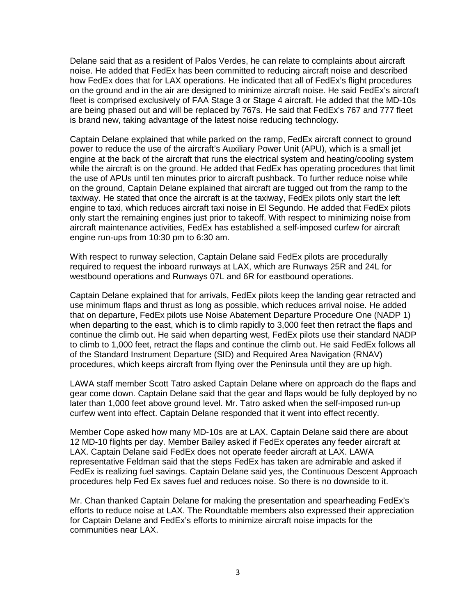Delane said that as a resident of Palos Verdes, he can relate to complaints about aircraft noise. He added that FedEx has been committed to reducing aircraft noise and described how FedEx does that for LAX operations. He indicated that all of FedEx's flight procedures on the ground and in the air are designed to minimize aircraft noise. He said FedEx's aircraft fleet is comprised exclusively of FAA Stage 3 or Stage 4 aircraft. He added that the MD-10s are being phased out and will be replaced by 767s. He said that FedEx's 767 and 777 fleet is brand new, taking advantage of the latest noise reducing technology.

Captain Delane explained that while parked on the ramp, FedEx aircraft connect to ground power to reduce the use of the aircraft's Auxiliary Power Unit (APU), which is a small jet engine at the back of the aircraft that runs the electrical system and heating/cooling system while the aircraft is on the ground. He added that FedEx has operating procedures that limit the use of APUs until ten minutes prior to aircraft pushback. To further reduce noise while on the ground, Captain Delane explained that aircraft are tugged out from the ramp to the taxiway. He stated that once the aircraft is at the taxiway, FedEx pilots only start the left engine to taxi, which reduces aircraft taxi noise in El Segundo. He added that FedEx pilots only start the remaining engines just prior to takeoff. With respect to minimizing noise from aircraft maintenance activities, FedEx has established a self-imposed curfew for aircraft engine run-ups from 10:30 pm to 6:30 am.

With respect to runway selection, Captain Delane said FedEx pilots are procedurally required to request the inboard runways at LAX, which are Runways 25R and 24L for westbound operations and Runways 07L and 6R for eastbound operations.

Captain Delane explained that for arrivals, FedEx pilots keep the landing gear retracted and use minimum flaps and thrust as long as possible, which reduces arrival noise. He added that on departure, FedEx pilots use Noise Abatement Departure Procedure One (NADP 1) when departing to the east, which is to climb rapidly to 3,000 feet then retract the flaps and continue the climb out. He said when departing west, FedEx pilots use their standard NADP to climb to 1,000 feet, retract the flaps and continue the climb out. He said FedEx follows all of the Standard Instrument Departure (SID) and Required Area Navigation (RNAV) procedures, which keeps aircraft from flying over the Peninsula until they are up high.

LAWA staff member Scott Tatro asked Captain Delane where on approach do the flaps and gear come down. Captain Delane said that the gear and flaps would be fully deployed by no later than 1,000 feet above ground level. Mr. Tatro asked when the self-imposed run-up curfew went into effect. Captain Delane responded that it went into effect recently.

Member Cope asked how many MD-10s are at LAX. Captain Delane said there are about 12 MD-10 flights per day. Member Bailey asked if FedEx operates any feeder aircraft at LAX. Captain Delane said FedEx does not operate feeder aircraft at LAX. LAWA representative Feldman said that the steps FedEx has taken are admirable and asked if FedEx is realizing fuel savings. Captain Delane said yes, the Continuous Descent Approach procedures help Fed Ex saves fuel and reduces noise. So there is no downside to it.

Mr. Chan thanked Captain Delane for making the presentation and spearheading FedEx's efforts to reduce noise at LAX. The Roundtable members also expressed their appreciation for Captain Delane and FedEx's efforts to minimize aircraft noise impacts for the communities near LAX.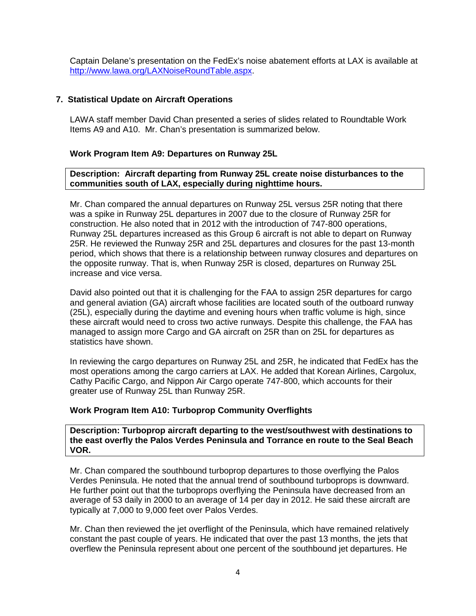Captain Delane's presentation on the FedEx's noise abatement efforts at LAX is available at [http://www.lawa.org/LAXNoiseRoundTable.aspx.](http://www.lawa.org/LAXNoiseRoundTable.aspx)

#### **7. Statistical Update on Aircraft Operations**

LAWA staff member David Chan presented a series of slides related to Roundtable Work Items A9 and A10. Mr. Chan's presentation is summarized below.

#### **Work Program Item A9: Departures on Runway 25L**

#### **Description: Aircraft departing from Runway 25L create noise disturbances to the communities south of LAX, especially during nighttime hours.**

Mr. Chan compared the annual departures on Runway 25L versus 25R noting that there was a spike in Runway 25L departures in 2007 due to the closure of Runway 25R for construction. He also noted that in 2012 with the introduction of 747-800 operations, Runway 25L departures increased as this Group 6 aircraft is not able to depart on Runway 25R. He reviewed the Runway 25R and 25L departures and closures for the past 13-month period, which shows that there is a relationship between runway closures and departures on the opposite runway. That is, when Runway 25R is closed, departures on Runway 25L increase and vice versa.

David also pointed out that it is challenging for the FAA to assign 25R departures for cargo and general aviation (GA) aircraft whose facilities are located south of the outboard runway (25L), especially during the daytime and evening hours when traffic volume is high, since these aircraft would need to cross two active runways. Despite this challenge, the FAA has managed to assign more Cargo and GA aircraft on 25R than on 25L for departures as statistics have shown.

In reviewing the cargo departures on Runway 25L and 25R, he indicated that FedEx has the most operations among the cargo carriers at LAX. He added that Korean Airlines, Cargolux, Cathy Pacific Cargo, and Nippon Air Cargo operate 747-800, which accounts for their greater use of Runway 25L than Runway 25R.

#### **Work Program Item A10: Turboprop Community Overflights**

**Description: Turboprop aircraft departing to the west/southwest with destinations to the east overfly the Palos Verdes Peninsula and Torrance en route to the Seal Beach VOR.**

Mr. Chan compared the southbound turboprop departures to those overflying the Palos Verdes Peninsula. He noted that the annual trend of southbound turboprops is downward. He further point out that the turboprops overflying the Peninsula have decreased from an average of 53 daily in 2000 to an average of 14 per day in 2012. He said these aircraft are typically at 7,000 to 9,000 feet over Palos Verdes.

Mr. Chan then reviewed the jet overflight of the Peninsula, which have remained relatively constant the past couple of years. He indicated that over the past 13 months, the jets that overflew the Peninsula represent about one percent of the southbound jet departures. He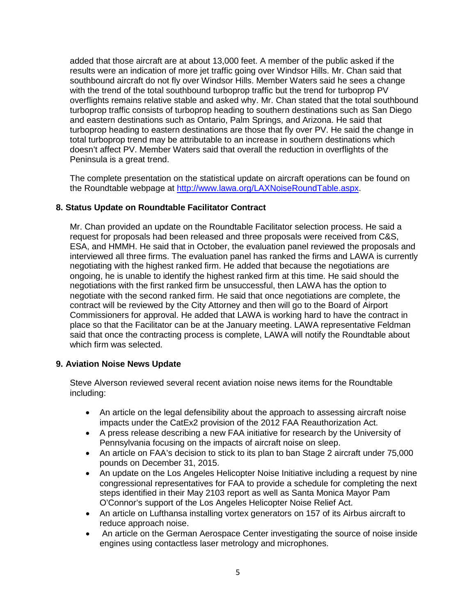added that those aircraft are at about 13,000 feet. A member of the public asked if the results were an indication of more jet traffic going over Windsor Hills. Mr. Chan said that southbound aircraft do not fly over Windsor Hills. Member Waters said he sees a change with the trend of the total southbound turboprop traffic but the trend for turboprop PV overflights remains relative stable and asked why. Mr. Chan stated that the total southbound turboprop traffic consists of turboprop heading to southern destinations such as San Diego and eastern destinations such as Ontario, Palm Springs, and Arizona. He said that turboprop heading to eastern destinations are those that fly over PV. He said the change in total turboprop trend may be attributable to an increase in southern destinations which doesn't affect PV. Member Waters said that overall the reduction in overflights of the Peninsula is a great trend.

The complete presentation on the statistical update on aircraft operations can be found on the Roundtable webpage at [http://www.lawa.org/LAXNoiseRoundTable.aspx.](http://www.lawa.org/LAXNoiseRoundTable.aspx)

#### **8. Status Update on Roundtable Facilitator Contract**

Mr. Chan provided an update on the Roundtable Facilitator selection process. He said a request for proposals had been released and three proposals were received from C&S, ESA, and HMMH. He said that in October, the evaluation panel reviewed the proposals and interviewed all three firms. The evaluation panel has ranked the firms and LAWA is currently negotiating with the highest ranked firm. He added that because the negotiations are ongoing, he is unable to identify the highest ranked firm at this time. He said should the negotiations with the first ranked firm be unsuccessful, then LAWA has the option to negotiate with the second ranked firm. He said that once negotiations are complete, the contract will be reviewed by the City Attorney and then will go to the Board of Airport Commissioners for approval. He added that LAWA is working hard to have the contract in place so that the Facilitator can be at the January meeting. LAWA representative Feldman said that once the contracting process is complete, LAWA will notify the Roundtable about which firm was selected.

#### **9. Aviation Noise News Update**

Steve Alverson reviewed several recent aviation noise news items for the Roundtable including:

- An article on the legal defensibility about the approach to assessing aircraft noise impacts under the CatEx2 provision of the 2012 FAA Reauthorization Act.
- A press release describing a new FAA initiative for research by the University of Pennsylvania focusing on the impacts of aircraft noise on sleep.
- An article on FAA's decision to stick to its plan to ban Stage 2 aircraft under 75,000 pounds on December 31, 2015.
- An update on the Los Angeles Helicopter Noise Initiative including a request by nine congressional representatives for FAA to provide a schedule for completing the next steps identified in their May 2103 report as well as Santa Monica Mayor Pam O'Connor's support of the Los Angeles Helicopter Noise Relief Act.
- An article on Lufthansa installing vortex generators on 157 of its Airbus aircraft to reduce approach noise.
- An article on the German Aerospace Center investigating the source of noise inside engines using contactless laser metrology and microphones.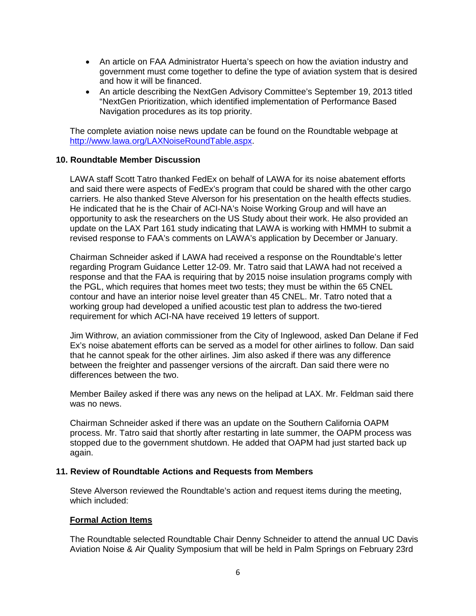- An article on FAA Administrator Huerta's speech on how the aviation industry and government must come together to define the type of aviation system that is desired and how it will be financed.
- An article describing the NextGen Advisory Committee's September 19, 2013 titled "NextGen Prioritization, which identified implementation of Performance Based Navigation procedures as its top priority.

The complete aviation noise news update can be found on the Roundtable webpage at [http://www.lawa.org/LAXNoiseRoundTable.aspx.](http://www.lawa.org/LAXNoiseRoundTable.aspx)

#### **10. Roundtable Member Discussion**

LAWA staff Scott Tatro thanked FedEx on behalf of LAWA for its noise abatement efforts and said there were aspects of FedEx's program that could be shared with the other cargo carriers. He also thanked Steve Alverson for his presentation on the health effects studies. He indicated that he is the Chair of ACI-NA's Noise Working Group and will have an opportunity to ask the researchers on the US Study about their work. He also provided an update on the LAX Part 161 study indicating that LAWA is working with HMMH to submit a revised response to FAA's comments on LAWA's application by December or January.

Chairman Schneider asked if LAWA had received a response on the Roundtable's letter regarding Program Guidance Letter 12-09. Mr. Tatro said that LAWA had not received a response and that the FAA is requiring that by 2015 noise insulation programs comply with the PGL, which requires that homes meet two tests; they must be within the 65 CNEL contour and have an interior noise level greater than 45 CNEL. Mr. Tatro noted that a working group had developed a unified acoustic test plan to address the two-tiered requirement for which ACI-NA have received 19 letters of support.

Jim Withrow, an aviation commissioner from the City of Inglewood, asked Dan Delane if Fed Ex's noise abatement efforts can be served as a model for other airlines to follow. Dan said that he cannot speak for the other airlines. Jim also asked if there was any difference between the freighter and passenger versions of the aircraft. Dan said there were no differences between the two.

Member Bailey asked if there was any news on the helipad at LAX. Mr. Feldman said there was no news.

Chairman Schneider asked if there was an update on the Southern California OAPM process. Mr. Tatro said that shortly after restarting in late summer, the OAPM process was stopped due to the government shutdown. He added that OAPM had just started back up again.

#### **11. Review of Roundtable Actions and Requests from Members**

Steve Alverson reviewed the Roundtable's action and request items during the meeting, which included:

#### **Formal Action Items**

The Roundtable selected Roundtable Chair Denny Schneider to attend the annual UC Davis Aviation Noise & Air Quality Symposium that will be held in Palm Springs on February 23rd